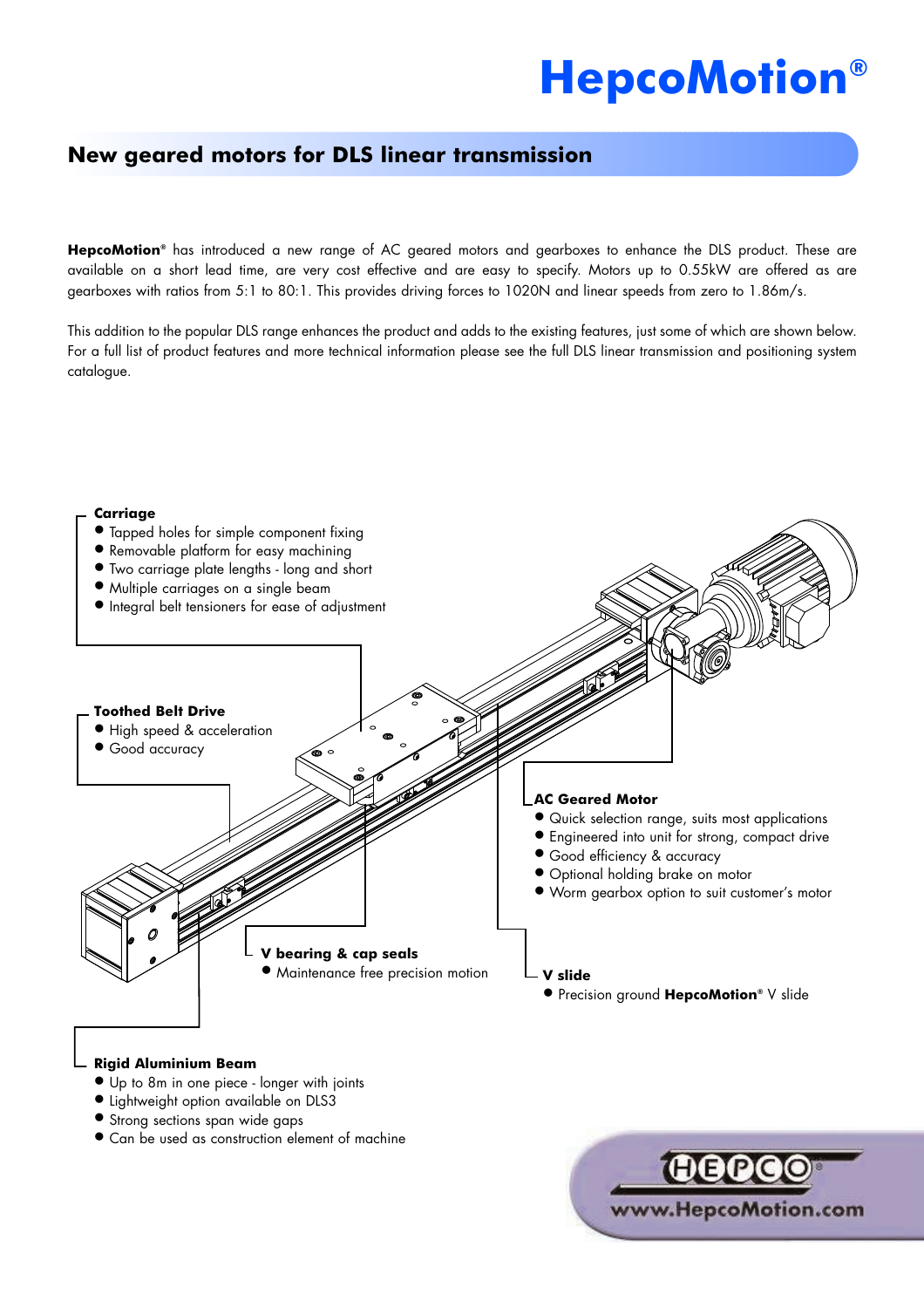# **HepcoMotion®**

# **New geared motors for DLS linear transmission**

**HepcoMotion®** has introduced a new range of AC geared motors and gearboxes to enhance the DLS product. These are available on a short lead time, are very cost effective and are easy to specify. Motors up to 0.55kW are offered as are gearboxes with ratios from 5:1 to 80:1. This provides driving forces to 1020N and linear speeds from zero to 1.86m/s.

This addition to the popular DLS range enhances the product and adds to the existing features, just some of which are shown below. For a full list of product features and more technical information please see the full DLS linear transmission and positioning system catalogue.

#### **Carriage**



#### **Rigid Aluminium Beam**

- l Up to 8m in one piece longer with joints
- **•** Lightweight option available on DLS3
- **Strong sections span wide gaps**
- Can be used as construction element of machine

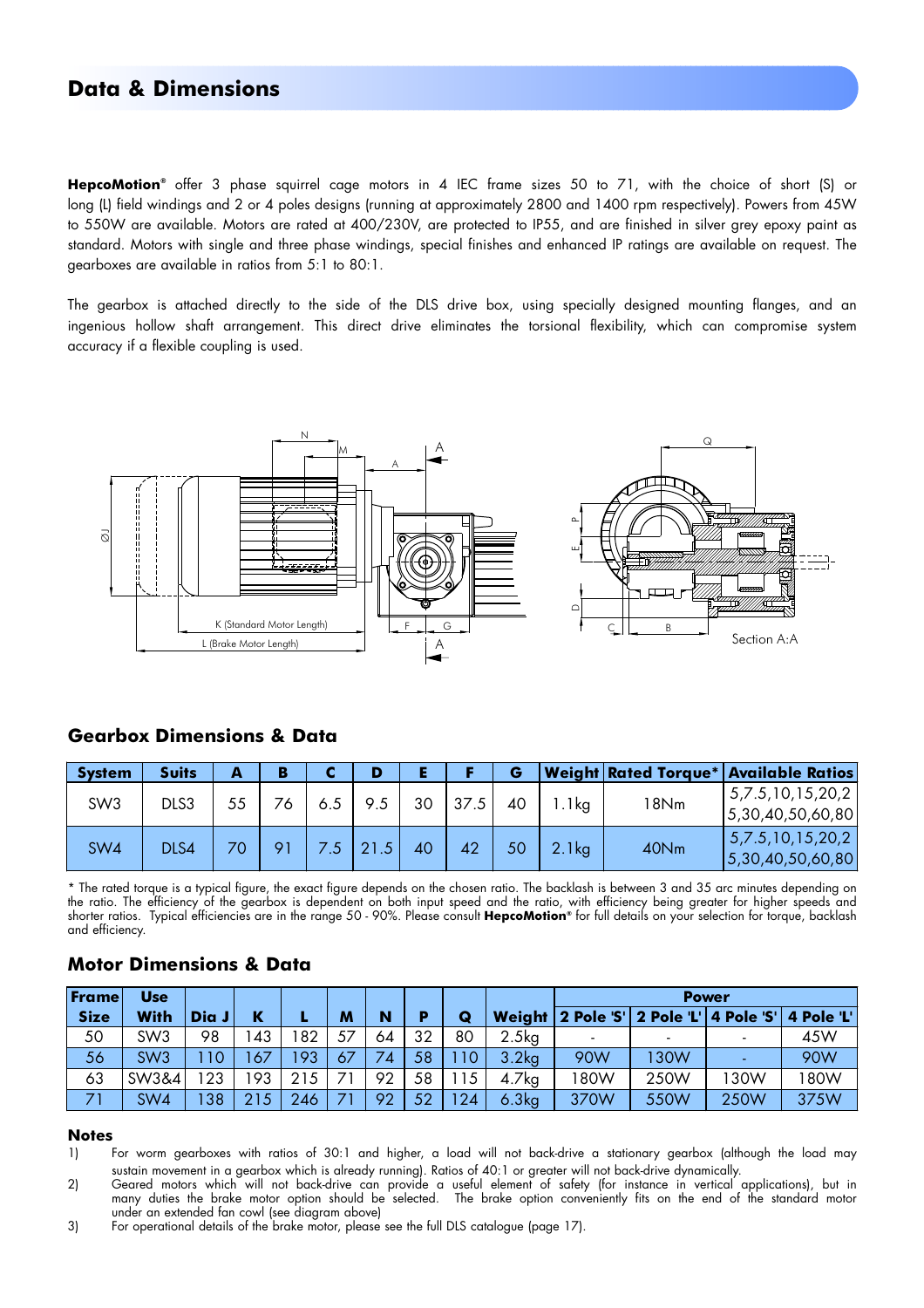## **Data & Dimensions**

**HepcoMotion®** offer 3 phase squirrel cage motors in 4 IEC frame sizes 50 to 71, with the choice of short (S) or long (L) field windings and 2 or 4 poles designs (running at approximately 2800 and 1400 rpm respectively). Powers from 45W to 550W are available. Motors are rated at 400/230V, are protected to IP55, and are finished in silver grey epoxy paint as standard. Motors with single and three phase windings, special finishes and enhanced IP ratings are available on request. The gearboxes are available in ratios from 5:1 to 80:1.

The gearbox is attached directly to the side of the DLS drive box, using specially designed mounting flanges, and an ingenious hollow shaft arrangement. This direct drive eliminates the torsional flexibility, which can compromise system accuracy if a flexible coupling is used.



#### **Gearbox Dimensions & Data**

| <b>System</b>   | <b>Suits</b> | А               | в  |     |     |    |      | G  |                   |      | Weight Rated Torque* Available Ratios |
|-----------------|--------------|-----------------|----|-----|-----|----|------|----|-------------------|------|---------------------------------------|
| SW <sub>3</sub> | DLS3         | 55              |    | 6.5 | 9.5 | 30 | 37.5 | 40 | .1kg              | 18Nm | 5,7.5,10,15,20,2<br>5,30,40,50,60,80  |
| SW4             | DLS4         | 70 <sub>1</sub> | 91 |     | .5  | 40 | 42   | 50 | 2.1 <sub>kg</sub> | 40Nm | 5,7.5,10,15,20,2<br>5,30,40,50,60,80  |

\* The rated torque is a typical figure, the exact figure depends on the chosen ratio. The backlash is between 3 and 35 arc minutes depending on the ratio. The efficiency of the gearbox is dependent on both input speed and the ratio, with efficiency being greater for higher speeds and shorter ratios. Typical efficiencies are in the range 50 - 90%. Please consult **HepcoMotion®** for full details on your selection for torque, backlash and efficiency.

| Frame       | <b>Use</b>      |       |     |     |    |    |    |    |                   | <b>Power</b> |      |                                         |            |  |  |  |
|-------------|-----------------|-------|-----|-----|----|----|----|----|-------------------|--------------|------|-----------------------------------------|------------|--|--|--|
| <b>Size</b> | With            | Dia J | ĸ   |     | M  | N  | D  | Q  |                   |              |      | Weight 2 Pole 'S' 2 Pole 'L' 4 Pole 'S' | 4 Pole 'L' |  |  |  |
| 50          | SW <sub>3</sub> | 98    | 43  | 82  | 57 | 64 | 32 | 80 | 2.5kg             |              |      |                                         | 45W        |  |  |  |
| 56          | SW <sub>3</sub> | 10    | 67  | 93  | 67 | 74 | 58 | 10 | 3.2 <sub>kg</sub> | 90W          | 30W  |                                         | 90W        |  |  |  |
| 63          | SW3&4           | 23    | 93  | 215 |    | 92 | 58 | 15 | 4.7kg             | 80W          | 250W | 130W                                    | 180W       |  |  |  |
| 71          | SW <sub>4</sub> | 38    | 215 | 246 |    | 92 | 52 | 24 | 6.3kg             | 370W         | 550W | 250W                                    | 375W       |  |  |  |

#### **Motor Dimensions & Data**

#### **Notes**

- 1) For worm gearboxes with ratios of 30:1 and higher, a load will not back-drive a stationary gearbox (although the load may sustain movement in a gearbox which is already running). Ratios of 40:1 or greater will not back-drive dynamically.
- 2) Geared motors which will not back-drive can provide a useful element of safety (for instance in vertical applications), but in many duties the brake motor option should be selected. The brake option conveniently fits on the end of the standard motor under an extended fan cowl (see diagram above)
- 3) For operational details of the brake motor, please see the full DLS catalogue (page 17).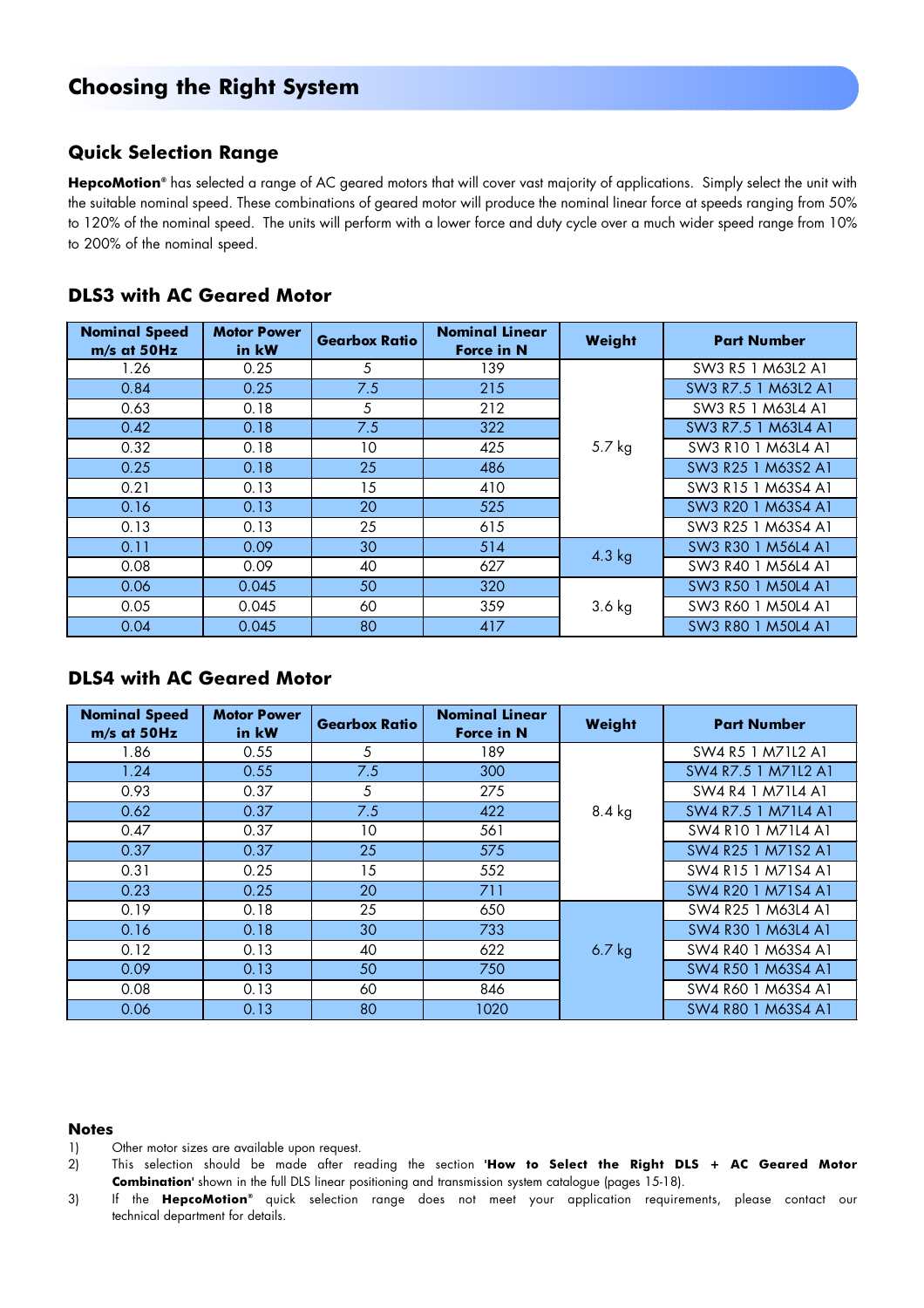# **Choosing the Right System**

## **Quick Selection Range**

**HepcoMotion®** has selected a range of AC geared motors that will cover vast majority of applications. Simply select the unit with the suitable nominal speed. These combinations of geared motor will produce the nominal linear force at speeds ranging from 50% to 120% of the nominal speed. The units will perform with a lower force and duty cycle over a much wider speed range from 10% to 200% of the nominal speed.

### **DLS3 with AC Geared Motor**

| <b>Nominal Speed</b><br>m/s at 50Hz | <b>Motor Power</b><br>in kW | <b>Gearbox Ratio</b> | <b>Nominal Linear</b><br><b>Force in N</b> | Weight   | <b>Part Number</b>  |
|-------------------------------------|-----------------------------|----------------------|--------------------------------------------|----------|---------------------|
| 1.26                                | 0.25                        | 5                    | 139                                        |          | SW3 R5 1 M63L2 A1   |
| 0.84                                | 0.25                        | 7.5                  | 215                                        |          | SW3 R7.5 1 M63L2 A1 |
| 0.63                                | 0.18                        | 5                    | 212                                        |          | SW3 R5 1 M63L4 A1   |
| 0.42                                | 0.18                        | 7.5                  | 322                                        |          | SW3 R7.5 1 M63L4 A1 |
| 0.32                                | 0.18                        | 10                   | 425                                        | 5.7 kg   | SW3 R10 1 M63L4 A1  |
| 0.25                                | 0.18                        | 25                   | 486                                        |          | SW3 R25 1 M63S2 A1  |
| 0.21                                | 0.13                        | 15                   | 410                                        |          | SW3 R15 1 M63S4 A1  |
| 0.16                                | 0.13                        | 20                   | 525                                        |          | SW3 R20 1 M63S4 A1  |
| 0.13                                | 0.13                        | 25                   | 615                                        |          | SW3 R25 1 M63S4 A1  |
| 0.11                                | 0.09                        | 30                   | 514                                        | $4.3$ kg | SW3 R30 1 M56L4 A1  |
| 0.08                                | 0.09                        | 40                   | 627                                        |          | SW3 R40 1 M56L4 A1  |
| 0.06                                | 0.045                       | 50                   | 320                                        |          | SW3 R50 1 M50L4 A1  |
| 0.05                                | 0.045<br>60                 |                      | 359                                        | $3.6$ kg | SW3 R60 1 M50L4 A1  |
| 0.04                                | 0.045                       | 80                   | 417                                        |          | SW3 R80 1 M50L4 A1  |

## **DLS4 with AC Geared Motor**

| <b>Nominal Speed</b><br>$m/s$ at 50Hz | <b>Motor Power</b><br>in kW | <b>Gearbox Ratio</b> | <b>Nominal Linear</b><br><b>Force in N</b> | Weight   | <b>Part Number</b>  |
|---------------------------------------|-----------------------------|----------------------|--------------------------------------------|----------|---------------------|
| 1.86                                  | 0.55                        | 5                    | 189                                        |          | SW4 R5 1 M71L2 A1   |
| 1.24                                  | 0.55                        | 7.5                  | 300                                        |          | SW4 R7.5 1 M71L2 A1 |
| 0.93                                  | 0.37                        | 5                    | 275                                        |          | SW4 R4 1 M71L4 A1   |
| 0.62                                  | 0.37                        | 7.5                  | 422                                        | $8.4$ kg | SW4 R7.5 1 M71L4 A1 |
| 0.47                                  | 0.37                        | 10                   | 561                                        |          | SW4 R10 1 M71L4 A1  |
| 0.37                                  | 0.37                        | 25                   | 575                                        |          | SW4 R25 1 M71S2 A1  |
| 0.31                                  | 0.25                        | 15                   | 552                                        |          | SW4 R15 1 M71S4 A1  |
| 0.23                                  | 0.25                        | 20                   | 711                                        |          | SW4 R20 1 M71S4 A1  |
| 0.19                                  | 0.18                        | 25                   | 650                                        |          | SW4 R25 1 M63L4 A1  |
| 0.16                                  | 0.18                        | 30                   | 733                                        |          | SW4 R30 1 M63L4 A1  |
| 0.12                                  | 0.13                        | 40                   | 622                                        | $6.7$ kg | SW4 R40 1 M63S4 A1  |
| 0.09                                  | 0.13                        | 50                   | 750                                        |          | SW4 R50 1 M63S4 A1  |
| 0.08                                  | 0.13                        | 60                   | 846                                        |          | SW4 R60 1 M63S4 A1  |
| 0.06                                  | 0.13                        | 80                   | 1020                                       |          | SW4 R80 1 M63S4 A1  |

#### **Notes**

- 1) Other motor sizes are available upon request.
- 2) This selection should be made after reading the section **'How to Select the Right DLS + AC Geared Motor Combination'** shown in the full DLS linear positioning and transmission system catalogue (pages 15-18).
- 3) If the **HepcoMotion®** quick selection range does not meet your application requirements, please contact our technical department for details.